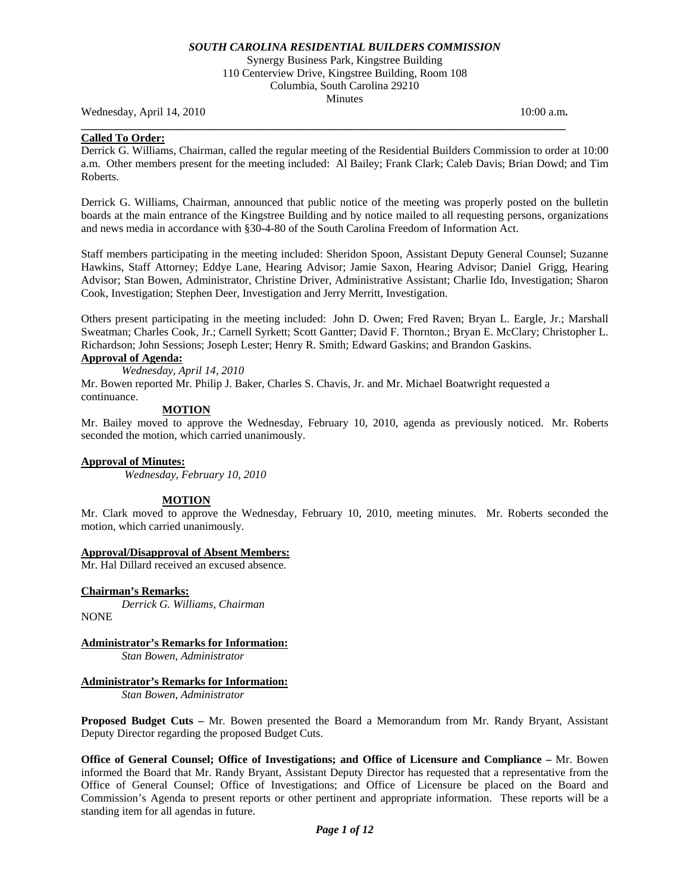Synergy Business Park, Kingstree Building 110 Centerview Drive, Kingstree Building, Room 108 Columbia, South Carolina 29210 **Minutes** 

Wednesday, April 14, 2010 **10:00 a.m. 10:00 a.m. 10:00 a.m. 10:00 a.m.** 

### **Called To Order:**

Derrick G. Williams, Chairman, called the regular meeting of the Residential Builders Commission to order at 10:00 a.m. Other members present for the meeting included: Al Bailey; Frank Clark; Caleb Davis; Brian Dowd; and Tim Roberts.

**\_\_\_\_\_\_\_\_\_\_\_\_\_\_\_\_\_\_\_\_\_\_\_\_\_\_\_\_\_\_\_\_\_\_\_\_\_\_\_\_\_\_\_\_\_\_\_\_\_\_\_\_\_\_\_\_\_\_\_\_\_\_\_\_\_\_\_\_\_\_\_\_\_\_\_\_\_\_\_\_\_\_\_\_\_\_** 

Derrick G. Williams, Chairman, announced that public notice of the meeting was properly posted on the bulletin boards at the main entrance of the Kingstree Building and by notice mailed to all requesting persons, organizations and news media in accordance with §30-4-80 of the South Carolina Freedom of Information Act.

Staff members participating in the meeting included: Sheridon Spoon, Assistant Deputy General Counsel; Suzanne Hawkins, Staff Attorney; Eddye Lane, Hearing Advisor; Jamie Saxon, Hearing Advisor; Daniel Grigg, Hearing Advisor; Stan Bowen, Administrator, Christine Driver, Administrative Assistant; Charlie Ido, Investigation; Sharon Cook, Investigation; Stephen Deer, Investigation and Jerry Merritt, Investigation.

Others present participating in the meeting included: John D. Owen; Fred Raven; Bryan L. Eargle, Jr.; Marshall Sweatman; Charles Cook, Jr.; Carnell Syrkett; Scott Gantter; David F. Thornton.; Bryan E. McClary; Christopher L. Richardson; John Sessions; Joseph Lester; Henry R. Smith; Edward Gaskins; and Brandon Gaskins.

# **Approval of Agenda:**

*Wednesday, April 14, 2010* 

Mr. Bowen reported Mr. Philip J. Baker, Charles S. Chavis, Jr. and Mr. Michael Boatwright requested a continuance.

## **MOTION**

Mr. Bailey moved to approve the Wednesday, February 10, 2010, agenda as previously noticed. Mr. Roberts seconded the motion, which carried unanimously.

# **Approval of Minutes:**

*Wednesday, February 10, 2010* 

## **MOTION**

Mr. Clark moved to approve the Wednesday, February 10, 2010, meeting minutes. Mr. Roberts seconded the motion, which carried unanimously.

## **Approval/Disapproval of Absent Members:**

Mr. Hal Dillard received an excused absence.

## **Chairman's Remarks:**

*Derrick G. Williams, Chairman*  NONE

**Administrator's Remarks for Information:**  *Stan Bowen, Administrator* 

# **Administrator's Remarks for Information:**

 *Stan Bowen, Administrator* 

**Proposed Budget Cuts –** Mr. Bowen presented the Board a Memorandum from Mr. Randy Bryant, Assistant Deputy Director regarding the proposed Budget Cuts.

**Office of General Counsel; Office of Investigations; and Office of Licensure and Compliance –** Mr. Bowen informed the Board that Mr. Randy Bryant, Assistant Deputy Director has requested that a representative from the Office of General Counsel; Office of Investigations; and Office of Licensure be placed on the Board and Commission's Agenda to present reports or other pertinent and appropriate information. These reports will be a standing item for all agendas in future.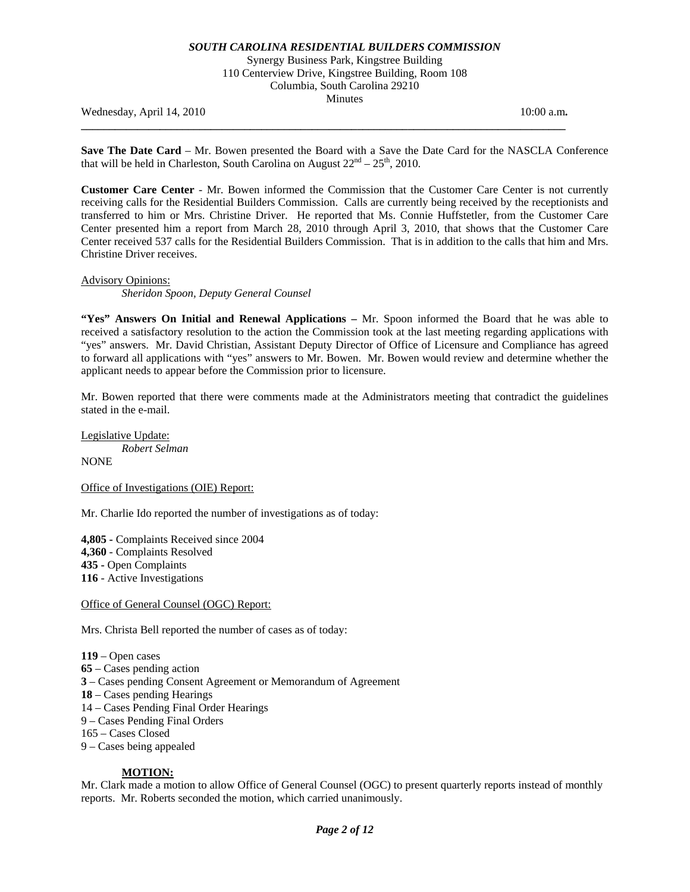## Synergy Business Park, Kingstree Building 110 Centerview Drive, Kingstree Building, Room 108 Columbia, South Carolina 29210 **Minutes**

Wednesday, April 14, 2010 **10:00 a.m. 10:00 a.m. 10:00 a.m. 10:00 a.m.** 

**Save The Date Card** – Mr. Bowen presented the Board with a Save the Date Card for the NASCLA Conference that will be held in Charleston, South Carolina on August  $22<sup>nd</sup> - 25<sup>th</sup>$ , 2010.

**\_\_\_\_\_\_\_\_\_\_\_\_\_\_\_\_\_\_\_\_\_\_\_\_\_\_\_\_\_\_\_\_\_\_\_\_\_\_\_\_\_\_\_\_\_\_\_\_\_\_\_\_\_\_\_\_\_\_\_\_\_\_\_\_\_\_\_\_\_\_\_\_\_\_\_\_\_\_\_\_\_\_\_\_\_\_** 

**Customer Care Center** - Mr. Bowen informed the Commission that the Customer Care Center is not currently receiving calls for the Residential Builders Commission. Calls are currently being received by the receptionists and transferred to him or Mrs. Christine Driver. He reported that Ms. Connie Huffstetler, from the Customer Care Center presented him a report from March 28, 2010 through April 3, 2010, that shows that the Customer Care Center received 537 calls for the Residential Builders Commission. That is in addition to the calls that him and Mrs. Christine Driver receives.

### Advisory Opinions:

*Sheridon Spoon, Deputy General Counsel* 

**"Yes" Answers On Initial and Renewal Applications –** Mr. Spoon informed the Board that he was able to received a satisfactory resolution to the action the Commission took at the last meeting regarding applications with "yes" answers. Mr. David Christian, Assistant Deputy Director of Office of Licensure and Compliance has agreed to forward all applications with "yes" answers to Mr. Bowen. Mr. Bowen would review and determine whether the applicant needs to appear before the Commission prior to licensure.

Mr. Bowen reported that there were comments made at the Administrators meeting that contradict the guidelines stated in the e-mail.

Legislative Update: *Robert Selman*  **NONE** 

Office of Investigations (OIE) Report:

Mr. Charlie Ido reported the number of investigations as of today:

**4,805 -** Complaints Received since 2004 **4,360** - Complaints Resolved **435 -** Open Complaints **116** - Active Investigations

Office of General Counsel (OGC) Report:

Mrs. Christa Bell reported the number of cases as of today:

**119** – Open cases **65** – Cases pending action **3** – Cases pending Consent Agreement or Memorandum of Agreement **18** – Cases pending Hearings 14 – Cases Pending Final Order Hearings 9 – Cases Pending Final Orders 165 – Cases Closed 9 – Cases being appealed

## **MOTION:**

Mr. Clark made a motion to allow Office of General Counsel (OGC) to present quarterly reports instead of monthly reports. Mr. Roberts seconded the motion, which carried unanimously.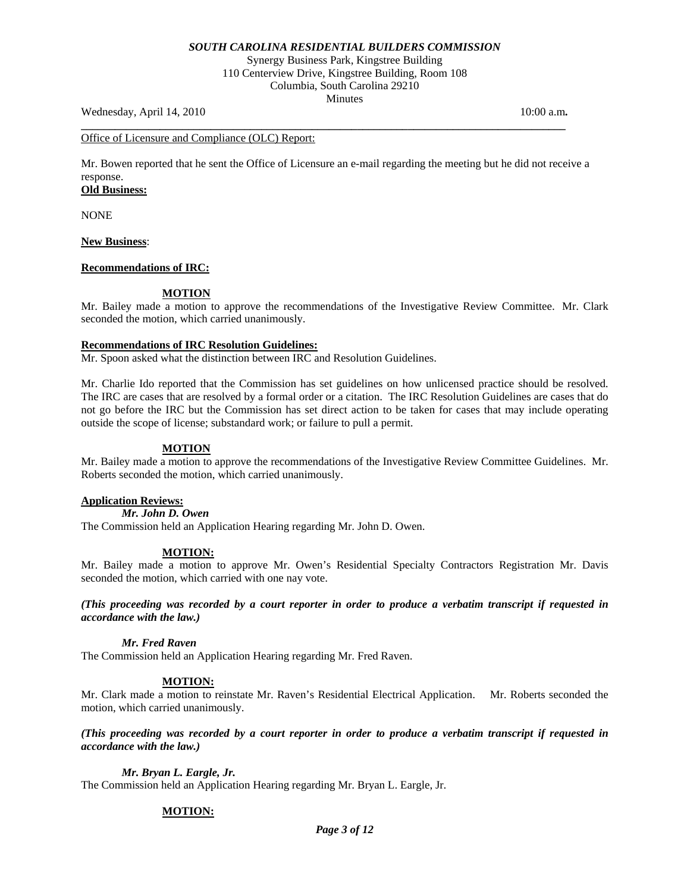Synergy Business Park, Kingstree Building 110 Centerview Drive, Kingstree Building, Room 108 Columbia, South Carolina 29210 **Minutes** 

Wednesday, April 14, 2010 **10:00 a.m. 10:00 a.m. 10:00 a.m. 10:00 a.m.** 

## Office of Licensure and Compliance (OLC) Report:

Mr. Bowen reported that he sent the Office of Licensure an e-mail regarding the meeting but he did not receive a response.

**\_\_\_\_\_\_\_\_\_\_\_\_\_\_\_\_\_\_\_\_\_\_\_\_\_\_\_\_\_\_\_\_\_\_\_\_\_\_\_\_\_\_\_\_\_\_\_\_\_\_\_\_\_\_\_\_\_\_\_\_\_\_\_\_\_\_\_\_\_\_\_\_\_\_\_\_\_\_\_\_\_\_\_\_\_\_** 

# **Old Business:**

NONE

## **New Business**:

## **Recommendations of IRC:**

## **MOTION**

Mr. Bailey made a motion to approve the recommendations of the Investigative Review Committee. Mr. Clark seconded the motion, which carried unanimously.

## **Recommendations of IRC Resolution Guidelines:**

Mr. Spoon asked what the distinction between IRC and Resolution Guidelines.

Mr. Charlie Ido reported that the Commission has set guidelines on how unlicensed practice should be resolved. The IRC are cases that are resolved by a formal order or a citation. The IRC Resolution Guidelines are cases that do not go before the IRC but the Commission has set direct action to be taken for cases that may include operating outside the scope of license; substandard work; or failure to pull a permit.

# **MOTION**

Mr. Bailey made a motion to approve the recommendations of the Investigative Review Committee Guidelines. Mr. Roberts seconded the motion, which carried unanimously.

## **Application Reviews:**

*Mr. John D. Owen* 

The Commission held an Application Hearing regarding Mr. John D. Owen.

## **MOTION:**

Mr. Bailey made a motion to approve Mr. Owen's Residential Specialty Contractors Registration Mr. Davis seconded the motion, which carried with one nay vote.

*(This proceeding was recorded by a court reporter in order to produce a verbatim transcript if requested in accordance with the law.)* 

## *Mr. Fred Raven*

The Commission held an Application Hearing regarding Mr. Fred Raven.

## **MOTION:**

Mr. Clark made a motion to reinstate Mr. Raven's Residential Electrical Application. Mr. Roberts seconded the motion, which carried unanimously.

*(This proceeding was recorded by a court reporter in order to produce a verbatim transcript if requested in accordance with the law.)* 

## *Mr. Bryan L. Eargle, Jr.*

The Commission held an Application Hearing regarding Mr. Bryan L. Eargle, Jr.

# **MOTION:**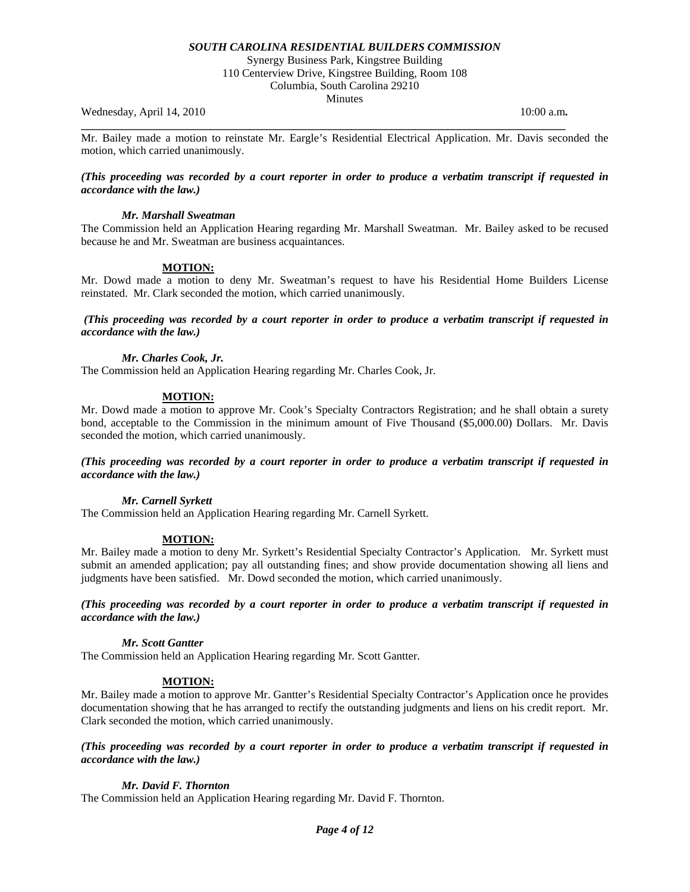Synergy Business Park, Kingstree Building 110 Centerview Drive, Kingstree Building, Room 108 Columbia, South Carolina 29210

**Minutes** 

Wednesday, April 14, 2010 **10:00 a.m. 10:00 a.m. 10:00 a.m. 10:00 a.m.** 

Mr. Bailey made a motion to reinstate Mr. Eargle's Residential Electrical Application. Mr. Davis seconded the motion, which carried unanimously.

**\_\_\_\_\_\_\_\_\_\_\_\_\_\_\_\_\_\_\_\_\_\_\_\_\_\_\_\_\_\_\_\_\_\_\_\_\_\_\_\_\_\_\_\_\_\_\_\_\_\_\_\_\_\_\_\_\_\_\_\_\_\_\_\_\_\_\_\_\_\_\_\_\_\_\_\_\_\_\_\_\_\_\_\_\_\_** 

*(This proceeding was recorded by a court reporter in order to produce a verbatim transcript if requested in accordance with the law.)* 

### *Mr. Marshall Sweatman*

The Commission held an Application Hearing regarding Mr. Marshall Sweatman. Mr. Bailey asked to be recused because he and Mr. Sweatman are business acquaintances.

## **MOTION:**

Mr. Dowd made a motion to deny Mr. Sweatman's request to have his Residential Home Builders License reinstated. Mr. Clark seconded the motion, which carried unanimously.

*(This proceeding was recorded by a court reporter in order to produce a verbatim transcript if requested in accordance with the law.)* 

## *Mr. Charles Cook, Jr.*

The Commission held an Application Hearing regarding Mr. Charles Cook, Jr.

## **MOTION:**

Mr. Dowd made a motion to approve Mr. Cook's Specialty Contractors Registration; and he shall obtain a surety bond, acceptable to the Commission in the minimum amount of Five Thousand (\$5,000.00) Dollars. Mr. Davis seconded the motion, which carried unanimously.

*(This proceeding was recorded by a court reporter in order to produce a verbatim transcript if requested in accordance with the law.)* 

## *Mr. Carnell Syrkett*

The Commission held an Application Hearing regarding Mr. Carnell Syrkett.

## **MOTION:**

Mr. Bailey made a motion to deny Mr. Syrkett's Residential Specialty Contractor's Application. Mr. Syrkett must submit an amended application; pay all outstanding fines; and show provide documentation showing all liens and judgments have been satisfied. Mr. Dowd seconded the motion, which carried unanimously.

*(This proceeding was recorded by a court reporter in order to produce a verbatim transcript if requested in accordance with the law.)* 

### *Mr. Scott Gantter*

The Commission held an Application Hearing regarding Mr. Scott Gantter.

## **MOTION:**

Mr. Bailey made a motion to approve Mr. Gantter's Residential Specialty Contractor's Application once he provides documentation showing that he has arranged to rectify the outstanding judgments and liens on his credit report. Mr. Clark seconded the motion, which carried unanimously.

## *(This proceeding was recorded by a court reporter in order to produce a verbatim transcript if requested in accordance with the law.)*

## *Mr. David F. Thornton*

The Commission held an Application Hearing regarding Mr. David F. Thornton.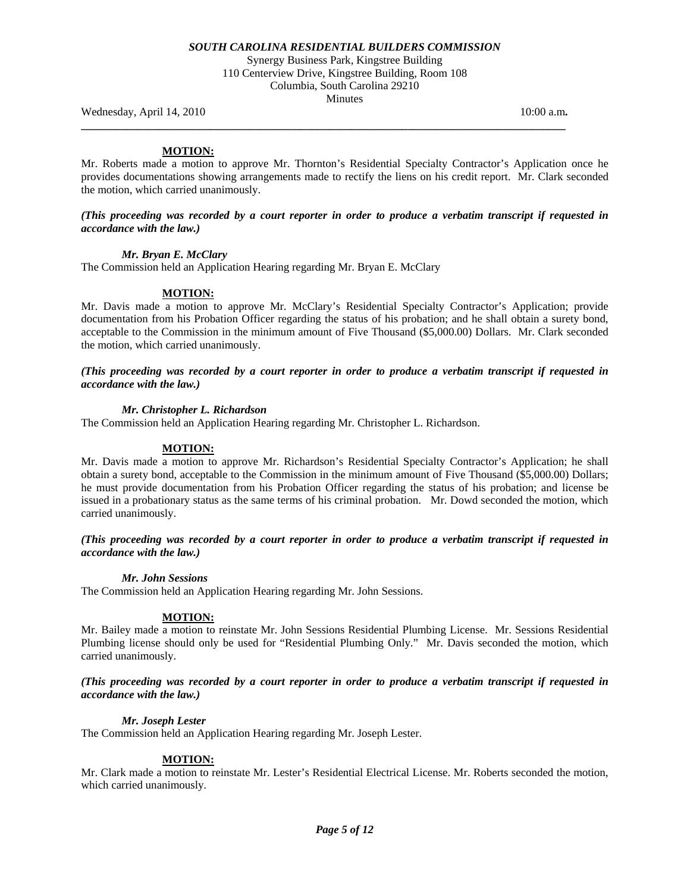Synergy Business Park, Kingstree Building 110 Centerview Drive, Kingstree Building, Room 108 Columbia, South Carolina 29210 **Minutes** 

**\_\_\_\_\_\_\_\_\_\_\_\_\_\_\_\_\_\_\_\_\_\_\_\_\_\_\_\_\_\_\_\_\_\_\_\_\_\_\_\_\_\_\_\_\_\_\_\_\_\_\_\_\_\_\_\_\_\_\_\_\_\_\_\_\_\_\_\_\_\_\_\_\_\_\_\_\_\_\_\_\_\_\_\_\_\_** 

Wednesday, April 14, 2010 **10:00 a.m. 10:00 a.m. 10:00 a.m. 10:00 a.m.** 

# **MOTION:**

Mr. Roberts made a motion to approve Mr. Thornton's Residential Specialty Contractor's Application once he provides documentations showing arrangements made to rectify the liens on his credit report. Mr. Clark seconded the motion, which carried unanimously.

## *(This proceeding was recorded by a court reporter in order to produce a verbatim transcript if requested in accordance with the law.)*

## *Mr. Bryan E. McClary*

The Commission held an Application Hearing regarding Mr. Bryan E. McClary

## **MOTION:**

Mr. Davis made a motion to approve Mr. McClary's Residential Specialty Contractor's Application; provide documentation from his Probation Officer regarding the status of his probation; and he shall obtain a surety bond, acceptable to the Commission in the minimum amount of Five Thousand (\$5,000.00) Dollars. Mr. Clark seconded the motion, which carried unanimously.

*(This proceeding was recorded by a court reporter in order to produce a verbatim transcript if requested in accordance with the law.)* 

## *Mr. Christopher L. Richardson*

The Commission held an Application Hearing regarding Mr. Christopher L. Richardson.

## **MOTION:**

Mr. Davis made a motion to approve Mr. Richardson's Residential Specialty Contractor's Application; he shall obtain a surety bond, acceptable to the Commission in the minimum amount of Five Thousand (\$5,000.00) Dollars; he must provide documentation from his Probation Officer regarding the status of his probation; and license be issued in a probationary status as the same terms of his criminal probation. Mr. Dowd seconded the motion, which carried unanimously.

## *(This proceeding was recorded by a court reporter in order to produce a verbatim transcript if requested in accordance with the law.)*

## *Mr. John Sessions*

The Commission held an Application Hearing regarding Mr. John Sessions.

# **MOTION:**

Mr. Bailey made a motion to reinstate Mr. John Sessions Residential Plumbing License. Mr. Sessions Residential Plumbing license should only be used for "Residential Plumbing Only." Mr. Davis seconded the motion, which carried unanimously.

## *(This proceeding was recorded by a court reporter in order to produce a verbatim transcript if requested in accordance with the law.)*

# *Mr. Joseph Lester*

The Commission held an Application Hearing regarding Mr. Joseph Lester.

## **MOTION:**

Mr. Clark made a motion to reinstate Mr. Lester's Residential Electrical License. Mr. Roberts seconded the motion, which carried unanimously.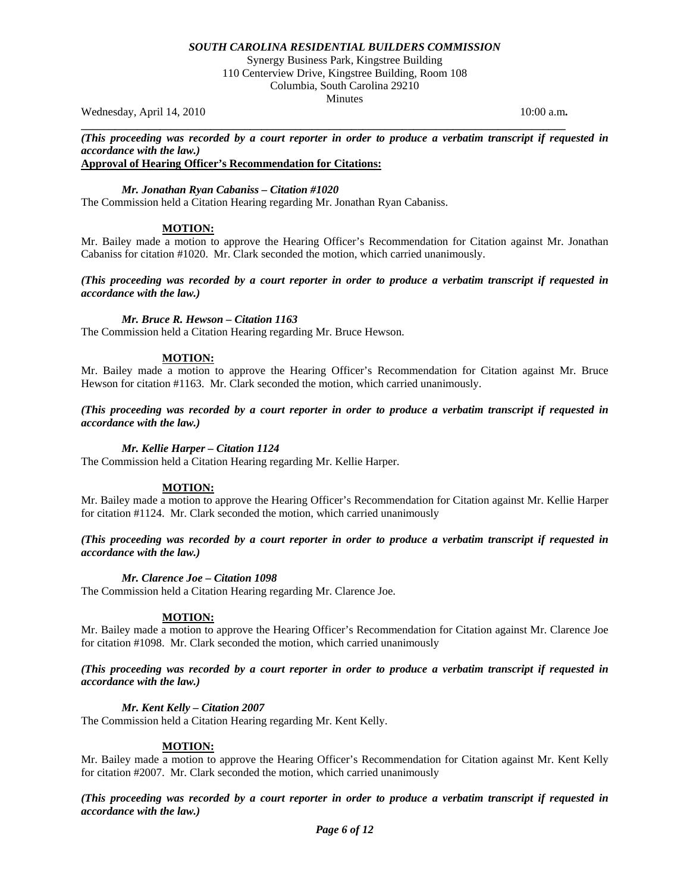Synergy Business Park, Kingstree Building 110 Centerview Drive, Kingstree Building, Room 108 Columbia, South Carolina 29210 **Minutes** 

Wednesday, April 14, 2010 **10:00 a.m. 10:00 a.m. 10:00 a.m. 10:00 a.m.** 

**\_\_\_\_\_\_\_\_\_\_\_\_\_\_\_\_\_\_\_\_\_\_\_\_\_\_\_\_\_\_\_\_\_\_\_\_\_\_\_\_\_\_\_\_\_\_\_\_\_\_\_\_\_\_\_\_\_\_\_\_\_\_\_\_\_\_\_\_\_\_\_\_\_\_\_\_\_\_\_\_\_\_\_\_\_\_**  *(This proceeding was recorded by a court reporter in order to produce a verbatim transcript if requested in accordance with the law.)* 

## **Approval of Hearing Officer's Recommendation for Citations:**

*Mr. Jonathan Ryan Cabaniss – Citation #1020* 

The Commission held a Citation Hearing regarding Mr. Jonathan Ryan Cabaniss.

# **MOTION:**

Mr. Bailey made a motion to approve the Hearing Officer's Recommendation for Citation against Mr. Jonathan Cabaniss for citation #1020. Mr. Clark seconded the motion, which carried unanimously.

*(This proceeding was recorded by a court reporter in order to produce a verbatim transcript if requested in accordance with the law.)* 

## *Mr. Bruce R. Hewson – Citation 1163*

The Commission held a Citation Hearing regarding Mr. Bruce Hewson.

## **MOTION:**

Mr. Bailey made a motion to approve the Hearing Officer's Recommendation for Citation against Mr. Bruce Hewson for citation #1163. Mr. Clark seconded the motion, which carried unanimously.

*(This proceeding was recorded by a court reporter in order to produce a verbatim transcript if requested in accordance with the law.)* 

## *Mr. Kellie Harper – Citation 1124*

The Commission held a Citation Hearing regarding Mr. Kellie Harper.

## **MOTION:**

Mr. Bailey made a motion to approve the Hearing Officer's Recommendation for Citation against Mr. Kellie Harper for citation #1124. Mr. Clark seconded the motion, which carried unanimously

*(This proceeding was recorded by a court reporter in order to produce a verbatim transcript if requested in accordance with the law.)* 

## *Mr. Clarence Joe – Citation 1098*

The Commission held a Citation Hearing regarding Mr. Clarence Joe.

## **MOTION:**

Mr. Bailey made a motion to approve the Hearing Officer's Recommendation for Citation against Mr. Clarence Joe for citation #1098. Mr. Clark seconded the motion, which carried unanimously

*(This proceeding was recorded by a court reporter in order to produce a verbatim transcript if requested in accordance with the law.)* 

# *Mr. Kent Kelly – Citation 2007*

The Commission held a Citation Hearing regarding Mr. Kent Kelly.

## **MOTION:**

Mr. Bailey made a motion to approve the Hearing Officer's Recommendation for Citation against Mr. Kent Kelly for citation #2007. Mr. Clark seconded the motion, which carried unanimously

*(This proceeding was recorded by a court reporter in order to produce a verbatim transcript if requested in accordance with the law.)*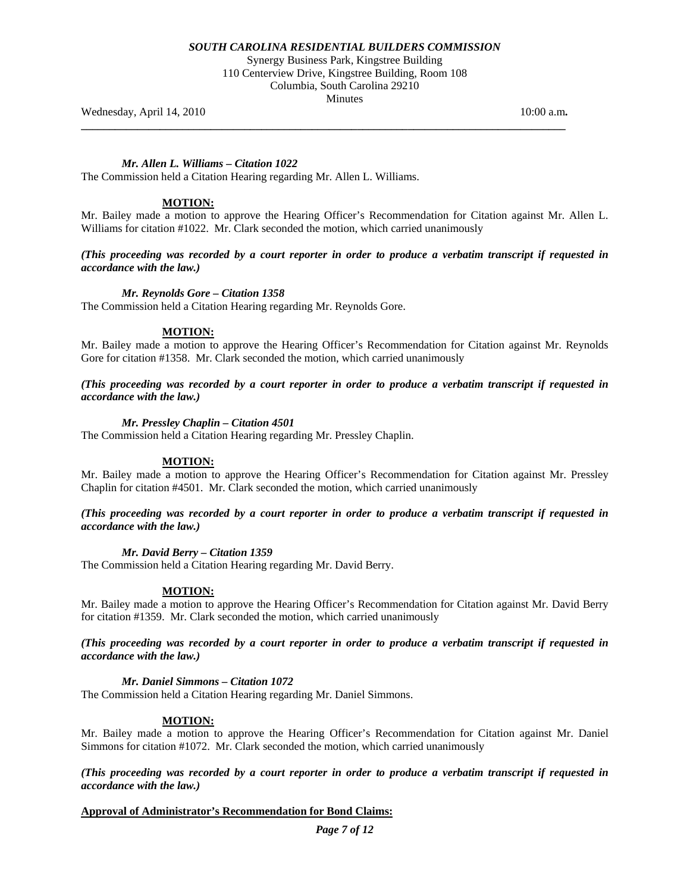Synergy Business Park, Kingstree Building 110 Centerview Drive, Kingstree Building, Room 108 Columbia, South Carolina 29210 **Minutes** 

**\_\_\_\_\_\_\_\_\_\_\_\_\_\_\_\_\_\_\_\_\_\_\_\_\_\_\_\_\_\_\_\_\_\_\_\_\_\_\_\_\_\_\_\_\_\_\_\_\_\_\_\_\_\_\_\_\_\_\_\_\_\_\_\_\_\_\_\_\_\_\_\_\_\_\_\_\_\_\_\_\_\_\_\_\_\_** 

Wednesday, April 14, 2010 **10:00 a.m. 10:00 a.m. 10:00 a.m. 10:00 a.m.** 

## *Mr. Allen L. Williams – Citation 1022*

The Commission held a Citation Hearing regarding Mr. Allen L. Williams.

# **MOTION:**

Mr. Bailey made a motion to approve the Hearing Officer's Recommendation for Citation against Mr. Allen L. Williams for citation #1022. Mr. Clark seconded the motion, which carried unanimously

*(This proceeding was recorded by a court reporter in order to produce a verbatim transcript if requested in accordance with the law.)* 

## *Mr. Reynolds Gore – Citation 1358*

The Commission held a Citation Hearing regarding Mr. Reynolds Gore.

## **MOTION:**

Mr. Bailey made a motion to approve the Hearing Officer's Recommendation for Citation against Mr. Reynolds Gore for citation #1358. Mr. Clark seconded the motion, which carried unanimously

*(This proceeding was recorded by a court reporter in order to produce a verbatim transcript if requested in accordance with the law.)* 

## *Mr. Pressley Chaplin – Citation 4501*

The Commission held a Citation Hearing regarding Mr. Pressley Chaplin.

## **MOTION:**

Mr. Bailey made a motion to approve the Hearing Officer's Recommendation for Citation against Mr. Pressley Chaplin for citation #4501. Mr. Clark seconded the motion, which carried unanimously

## *(This proceeding was recorded by a court reporter in order to produce a verbatim transcript if requested in accordance with the law.)*

## *Mr. David Berry – Citation 1359*

The Commission held a Citation Hearing regarding Mr. David Berry.

## **MOTION:**

Mr. Bailey made a motion to approve the Hearing Officer's Recommendation for Citation against Mr. David Berry for citation #1359. Mr. Clark seconded the motion, which carried unanimously

*(This proceeding was recorded by a court reporter in order to produce a verbatim transcript if requested in accordance with the law.)* 

## *Mr. Daniel Simmons – Citation 1072*

The Commission held a Citation Hearing regarding Mr. Daniel Simmons.

## **MOTION:**

Mr. Bailey made a motion to approve the Hearing Officer's Recommendation for Citation against Mr. Daniel Simmons for citation #1072. Mr. Clark seconded the motion, which carried unanimously

*(This proceeding was recorded by a court reporter in order to produce a verbatim transcript if requested in accordance with the law.)* 

# **Approval of Administrator's Recommendation for Bond Claims:**

*Page 7 of 12*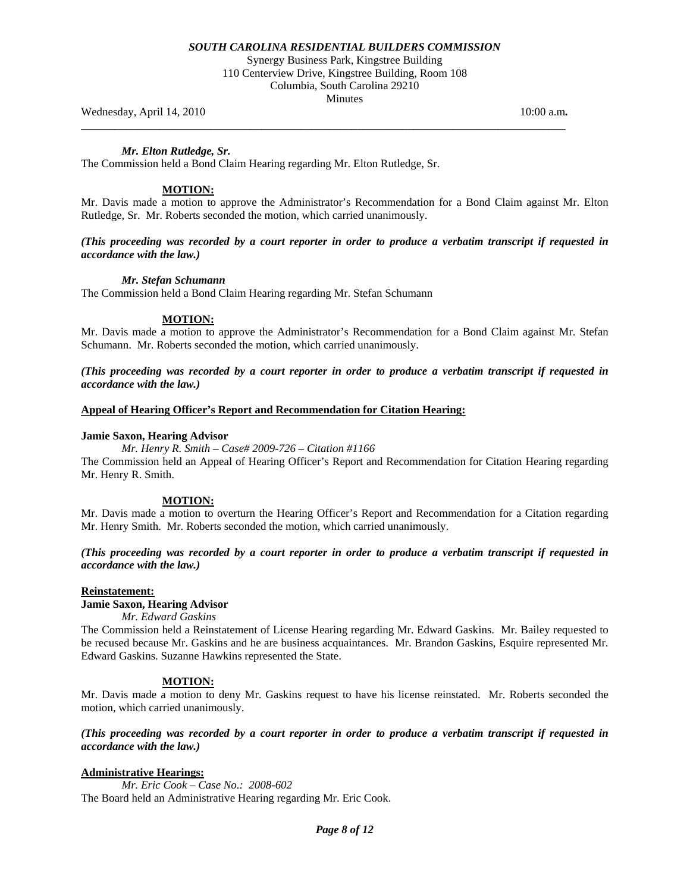Synergy Business Park, Kingstree Building 110 Centerview Drive, Kingstree Building, Room 108 Columbia, South Carolina 29210 **Minutes** 

**\_\_\_\_\_\_\_\_\_\_\_\_\_\_\_\_\_\_\_\_\_\_\_\_\_\_\_\_\_\_\_\_\_\_\_\_\_\_\_\_\_\_\_\_\_\_\_\_\_\_\_\_\_\_\_\_\_\_\_\_\_\_\_\_\_\_\_\_\_\_\_\_\_\_\_\_\_\_\_\_\_\_\_\_\_\_** 

Wednesday, April 14, 2010 **10:00 a.m. 10:00 a.m. 10:00 a.m. 10:00 a.m.** 

*Mr. Elton Rutledge, Sr.* 

The Commission held a Bond Claim Hearing regarding Mr. Elton Rutledge, Sr.

## **MOTION:**

Mr. Davis made a motion to approve the Administrator's Recommendation for a Bond Claim against Mr. Elton Rutledge, Sr. Mr. Roberts seconded the motion, which carried unanimously.

## *(This proceeding was recorded by a court reporter in order to produce a verbatim transcript if requested in accordance with the law.)*

### *Mr. Stefan Schumann*

The Commission held a Bond Claim Hearing regarding Mr. Stefan Schumann

## **MOTION:**

Mr. Davis made a motion to approve the Administrator's Recommendation for a Bond Claim against Mr. Stefan Schumann. Mr. Roberts seconded the motion, which carried unanimously.

*(This proceeding was recorded by a court reporter in order to produce a verbatim transcript if requested in accordance with the law.)* 

### **Appeal of Hearing Officer's Report and Recommendation for Citation Hearing:**

### **Jamie Saxon, Hearing Advisor**

 *Mr. Henry R. Smith – Case# 2009-726 – Citation #1166*  The Commission held an Appeal of Hearing Officer's Report and Recommendation for Citation Hearing regarding Mr. Henry R. Smith.

## **MOTION:**

Mr. Davis made a motion to overturn the Hearing Officer's Report and Recommendation for a Citation regarding Mr. Henry Smith. Mr. Roberts seconded the motion, which carried unanimously.

*(This proceeding was recorded by a court reporter in order to produce a verbatim transcript if requested in accordance with the law.)* 

## **Reinstatement:**

# **Jamie Saxon, Hearing Advisor**

 *Mr. Edward Gaskins*

The Commission held a Reinstatement of License Hearing regarding Mr. Edward Gaskins. Mr. Bailey requested to be recused because Mr. Gaskins and he are business acquaintances. Mr. Brandon Gaskins, Esquire represented Mr. Edward Gaskins. Suzanne Hawkins represented the State.

## **MOTION:**

Mr. Davis made a motion to deny Mr. Gaskins request to have his license reinstated. Mr. Roberts seconded the motion, which carried unanimously.

*(This proceeding was recorded by a court reporter in order to produce a verbatim transcript if requested in accordance with the law.)* 

## **Administrative Hearings:**

 *Mr. Eric Cook – Case No.: 2008-602*  The Board held an Administrative Hearing regarding Mr. Eric Cook.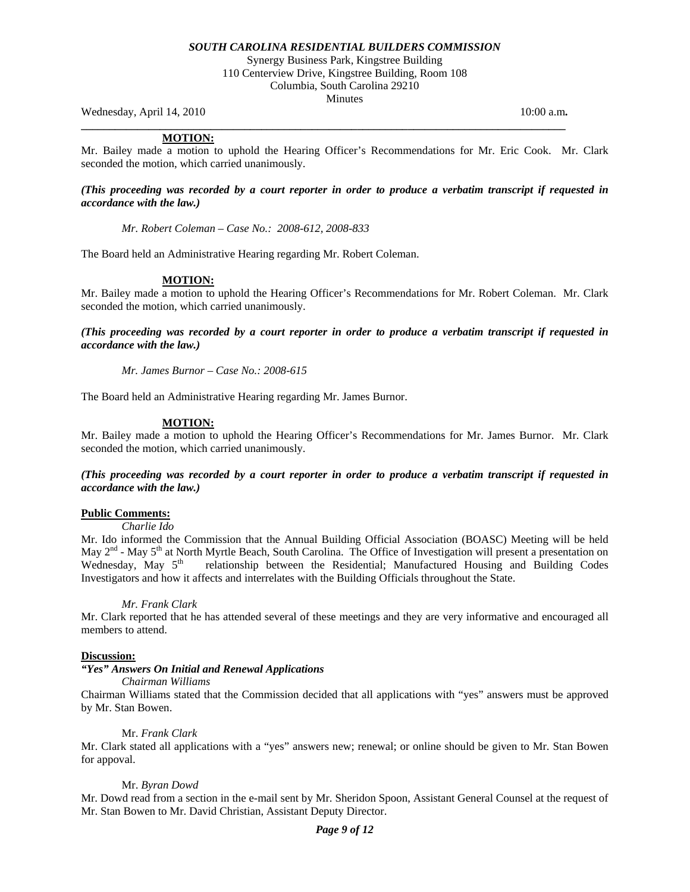Synergy Business Park, Kingstree Building 110 Centerview Drive, Kingstree Building, Room 108 Columbia, South Carolina 29210 **Minutes** 

Wednesday, April 14, 2010 **10:00 a.m. 10:00 a.m. 10:00 a.m. 10:00 a.m.** 

## **MOTION:**

Mr. Bailey made a motion to uphold the Hearing Officer's Recommendations for Mr. Eric Cook. Mr. Clark seconded the motion, which carried unanimously.

**\_\_\_\_\_\_\_\_\_\_\_\_\_\_\_\_\_\_\_\_\_\_\_\_\_\_\_\_\_\_\_\_\_\_\_\_\_\_\_\_\_\_\_\_\_\_\_\_\_\_\_\_\_\_\_\_\_\_\_\_\_\_\_\_\_\_\_\_\_\_\_\_\_\_\_\_\_\_\_\_\_\_\_\_\_\_** 

## *(This proceeding was recorded by a court reporter in order to produce a verbatim transcript if requested in accordance with the law.)*

*Mr. Robert Coleman – Case No.: 2008-612, 2008-833* 

The Board held an Administrative Hearing regarding Mr. Robert Coleman.

## **MOTION:**

Mr. Bailey made a motion to uphold the Hearing Officer's Recommendations for Mr. Robert Coleman. Mr. Clark seconded the motion, which carried unanimously.

*(This proceeding was recorded by a court reporter in order to produce a verbatim transcript if requested in accordance with the law.)* 

*Mr. James Burnor – Case No.: 2008-615* 

The Board held an Administrative Hearing regarding Mr. James Burnor.

## **MOTION:**

Mr. Bailey made a motion to uphold the Hearing Officer's Recommendations for Mr. James Burnor. Mr. Clark seconded the motion, which carried unanimously.

*(This proceeding was recorded by a court reporter in order to produce a verbatim transcript if requested in accordance with the law.)* 

## **Public Comments:**

 *Charlie Ido*

Mr. Ido informed the Commission that the Annual Building Official Association (BOASC) Meeting will be held May  $2<sup>nd</sup>$  - May  $5<sup>th</sup>$  at North Myrtle Beach, South Carolina. The Office of Investigation will present a presentation on Wednesday, May  $5<sup>th</sup>$  relationship between the Residential; Manufactured Housing and Building Codes Investigators and how it affects and interrelates with the Building Officials throughout the State.

## *Mr. Frank Clark*

Mr. Clark reported that he has attended several of these meetings and they are very informative and encouraged all members to attend.

#### **Discussion:**

# *"Yes" Answers On Initial and Renewal Applications*

 *Chairman Williams* 

Chairman Williams stated that the Commission decided that all applications with "yes" answers must be approved by Mr. Stan Bowen.

## Mr. *Frank Clark*

Mr. Clark stated all applications with a "yes" answers new; renewal; or online should be given to Mr. Stan Bowen for appoval.

## Mr. *Byran Dowd*

Mr. Dowd read from a section in the e-mail sent by Mr. Sheridon Spoon, Assistant General Counsel at the request of Mr. Stan Bowen to Mr. David Christian, Assistant Deputy Director.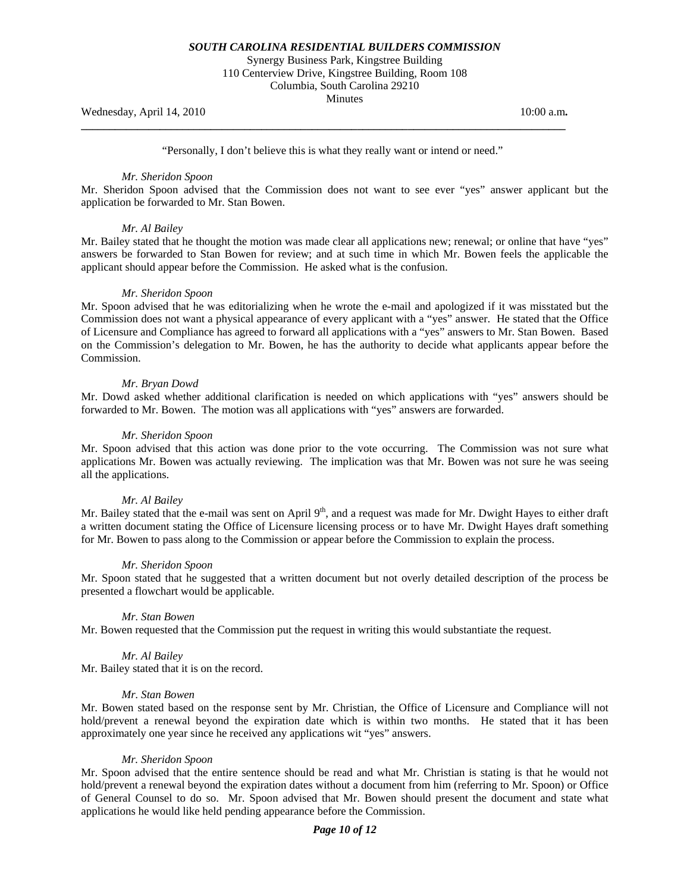Synergy Business Park, Kingstree Building 110 Centerview Drive, Kingstree Building, Room 108 Columbia, South Carolina 29210

**Minutes** 

Wednesday, April 14, 2010 10:00 a.m.

"Personally, I don't believe this is what they really want or intend or need."

**\_\_\_\_\_\_\_\_\_\_\_\_\_\_\_\_\_\_\_\_\_\_\_\_\_\_\_\_\_\_\_\_\_\_\_\_\_\_\_\_\_\_\_\_\_\_\_\_\_\_\_\_\_\_\_\_\_\_\_\_\_\_\_\_\_\_\_\_\_\_\_\_\_\_\_\_\_\_\_\_\_\_\_\_\_\_** 

#### *Mr. Sheridon Spoon*

Mr. Sheridon Spoon advised that the Commission does not want to see ever "yes" answer applicant but the application be forwarded to Mr. Stan Bowen.

## *Mr. Al Bailey*

Mr. Bailey stated that he thought the motion was made clear all applications new; renewal; or online that have "yes" answers be forwarded to Stan Bowen for review; and at such time in which Mr. Bowen feels the applicable the applicant should appear before the Commission. He asked what is the confusion.

### *Mr. Sheridon Spoon*

Mr. Spoon advised that he was editorializing when he wrote the e-mail and apologized if it was misstated but the Commission does not want a physical appearance of every applicant with a "yes" answer. He stated that the Office of Licensure and Compliance has agreed to forward all applications with a "yes" answers to Mr. Stan Bowen. Based on the Commission's delegation to Mr. Bowen, he has the authority to decide what applicants appear before the Commission.

### *Mr. Bryan Dowd*

Mr. Dowd asked whether additional clarification is needed on which applications with "yes" answers should be forwarded to Mr. Bowen. The motion was all applications with "yes" answers are forwarded.

### *Mr. Sheridon Spoon*

Mr. Spoon advised that this action was done prior to the vote occurring. The Commission was not sure what applications Mr. Bowen was actually reviewing. The implication was that Mr. Bowen was not sure he was seeing all the applications.

### *Mr. Al Bailey*

Mr. Bailey stated that the e-mail was sent on April 9<sup>th</sup>, and a request was made for Mr. Dwight Hayes to either draft a written document stating the Office of Licensure licensing process or to have Mr. Dwight Hayes draft something for Mr. Bowen to pass along to the Commission or appear before the Commission to explain the process.

#### *Mr. Sheridon Spoon*

Mr. Spoon stated that he suggested that a written document but not overly detailed description of the process be presented a flowchart would be applicable.

#### *Mr. Stan Bowen*

Mr. Bowen requested that the Commission put the request in writing this would substantiate the request.

#### *Mr. Al Bailey*

Mr. Bailey stated that it is on the record.

#### *Mr. Stan Bowen*

Mr. Bowen stated based on the response sent by Mr. Christian, the Office of Licensure and Compliance will not hold/prevent a renewal beyond the expiration date which is within two months. He stated that it has been approximately one year since he received any applications wit "yes" answers.

## *Mr. Sheridon Spoon*

Mr. Spoon advised that the entire sentence should be read and what Mr. Christian is stating is that he would not hold/prevent a renewal beyond the expiration dates without a document from him (referring to Mr. Spoon) or Office of General Counsel to do so. Mr. Spoon advised that Mr. Bowen should present the document and state what applications he would like held pending appearance before the Commission.

## *Page 10 of 12*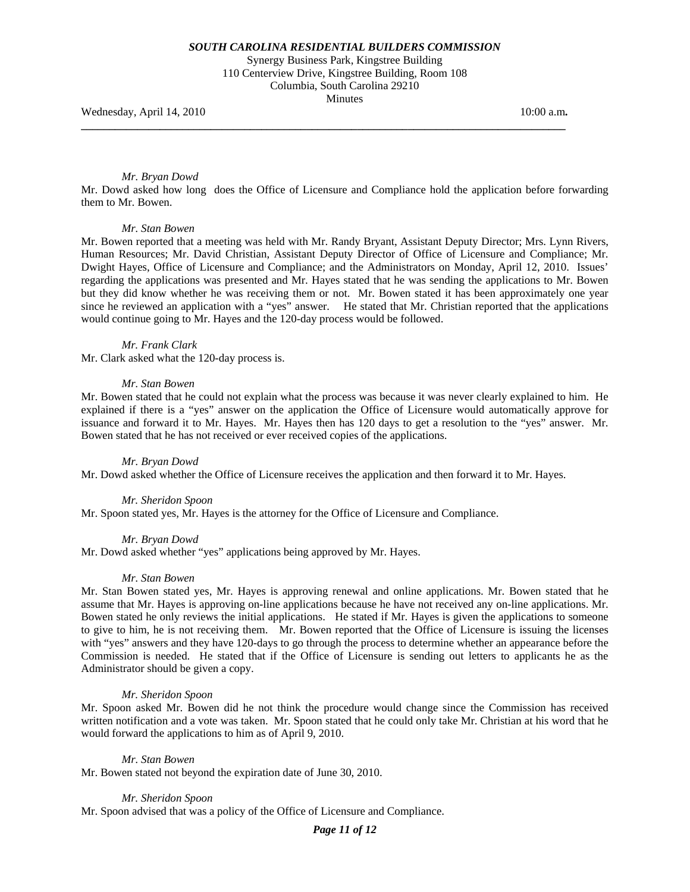Synergy Business Park, Kingstree Building 110 Centerview Drive, Kingstree Building, Room 108 Columbia, South Carolina 29210 **Minutes** 

**\_\_\_\_\_\_\_\_\_\_\_\_\_\_\_\_\_\_\_\_\_\_\_\_\_\_\_\_\_\_\_\_\_\_\_\_\_\_\_\_\_\_\_\_\_\_\_\_\_\_\_\_\_\_\_\_\_\_\_\_\_\_\_\_\_\_\_\_\_\_\_\_\_\_\_\_\_\_\_\_\_\_\_\_\_\_** 

Wednesday, April 14, 2010 **10:00 a.m. 10:00 a.m. 10:00 a.m. 10:00 a.m.** 

### *Mr. Bryan Dowd*

Mr. Dowd asked how long does the Office of Licensure and Compliance hold the application before forwarding them to Mr. Bowen.

#### *Mr. Stan Bowen*

Mr. Bowen reported that a meeting was held with Mr. Randy Bryant, Assistant Deputy Director; Mrs. Lynn Rivers, Human Resources; Mr. David Christian, Assistant Deputy Director of Office of Licensure and Compliance; Mr. Dwight Hayes, Office of Licensure and Compliance; and the Administrators on Monday, April 12, 2010. Issues' regarding the applications was presented and Mr. Hayes stated that he was sending the applications to Mr. Bowen but they did know whether he was receiving them or not. Mr. Bowen stated it has been approximately one year since he reviewed an application with a "yes" answer. He stated that Mr. Christian reported that the applications would continue going to Mr. Hayes and the 120-day process would be followed.

#### *Mr. Frank Clark*

Mr. Clark asked what the 120-day process is.

### *Mr. Stan Bowen*

Mr. Bowen stated that he could not explain what the process was because it was never clearly explained to him. He explained if there is a "yes" answer on the application the Office of Licensure would automatically approve for issuance and forward it to Mr. Hayes. Mr. Hayes then has 120 days to get a resolution to the "yes" answer. Mr. Bowen stated that he has not received or ever received copies of the applications.

#### *Mr. Bryan Dowd*

Mr. Dowd asked whether the Office of Licensure receives the application and then forward it to Mr. Hayes.

#### *Mr. Sheridon Spoon*

Mr. Spoon stated yes, Mr. Hayes is the attorney for the Office of Licensure and Compliance.

#### *Mr. Bryan Dowd*

Mr. Dowd asked whether "yes" applications being approved by Mr. Hayes.

#### *Mr. Stan Bowen*

Mr. Stan Bowen stated yes, Mr. Hayes is approving renewal and online applications. Mr. Bowen stated that he assume that Mr. Hayes is approving on-line applications because he have not received any on-line applications. Mr. Bowen stated he only reviews the initial applications. He stated if Mr. Hayes is given the applications to someone to give to him, he is not receiving them. Mr. Bowen reported that the Office of Licensure is issuing the licenses with "yes" answers and they have 120-days to go through the process to determine whether an appearance before the Commission is needed. He stated that if the Office of Licensure is sending out letters to applicants he as the Administrator should be given a copy.

## *Mr. Sheridon Spoon*

Mr. Spoon asked Mr. Bowen did he not think the procedure would change since the Commission has received written notification and a vote was taken. Mr. Spoon stated that he could only take Mr. Christian at his word that he would forward the applications to him as of April 9, 2010.

#### *Mr. Stan Bowen*

Mr. Bowen stated not beyond the expiration date of June 30, 2010.

#### *Mr. Sheridon Spoon*

Mr. Spoon advised that was a policy of the Office of Licensure and Compliance.

# *Page 11 of 12*